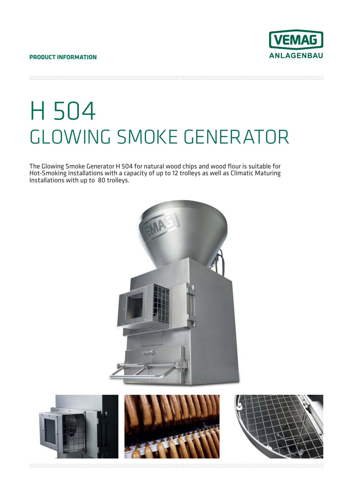

H 504 GLOWING SMOKE GENERATOR

The Glowing Smoke Generator H 504 for natural wood chips and wood flour is suitable for Hot-Smoking Installations with a capacity of up to 12 trolleys as well as Climatic Maturing Installations with up to 80 trolleys.